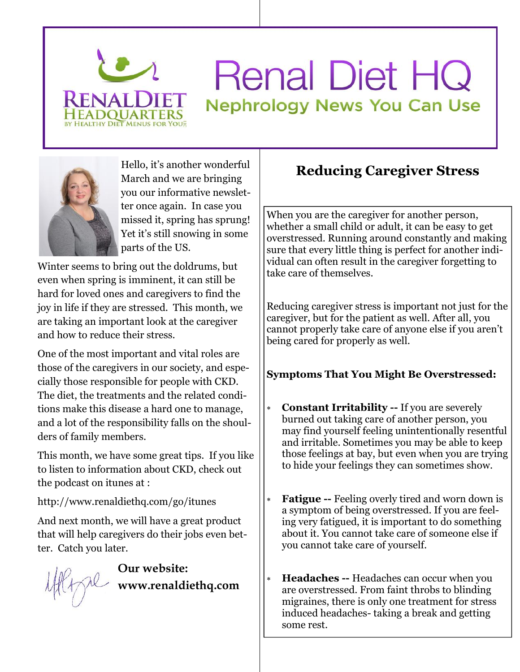

# **Renal Diet HQ Nephrology News You Can Use**



March and we are bringing you our informative newsletter once again. In case you missed it, spring has sprung! Yet it's still snowing in some parts of the US.

Winter seems to bring out the doldrums, but even when spring is imminent, it can still be hard for loved ones and caregivers to find the joy in life if they are stressed. This month, we are taking an important look at the caregiver and how to reduce their stress.

One of the most important and vital roles are those of the caregivers in our society, and especially those responsible for people with CKD. The diet, the treatments and the related conditions make this disease a hard one to manage, and a lot of the responsibility falls on the shoulders of family members.

This month, we have some great tips. If you like to listen to information about CKD, check out the podcast on itunes at :

http://www.renaldiethq.com/go/itunes

And next month, we will have a great product that will help caregivers do their jobs even better. Catch you later.

**Our website: www.renaldiethq.com**

## Hello, it's another wonderful<br> **Reducing Caregiver Stress**

When you are the caregiver for another person, whether a small child or adult, it can be easy to get overstressed. Running around constantly and making sure that every little thing is perfect for another individual can often result in the caregiver forgetting to take care of themselves.

Reducing caregiver stress is important not just for the caregiver, but for the patient as well. After all, you cannot properly take care of anyone else if you aren't being cared for properly as well.

#### **Symptoms That You Might Be Overstressed:**

- **Constant Irritability --** If you are severely burned out taking care of another person, you may find yourself feeling unintentionally resentful and irritable. Sometimes you may be able to keep those feelings at bay, but even when you are trying to hide your feelings they can sometimes show.
- **Fatigue --** Feeling overly tired and worn down is a symptom of being overstressed. If you are feeling very fatigued, it is important to do something about it. You cannot take care of someone else if you cannot take care of yourself.
- **Headaches --** Headaches can occur when you are overstressed. From faint throbs to blinding migraines, there is only one treatment for stress induced headaches- taking a break and getting some rest.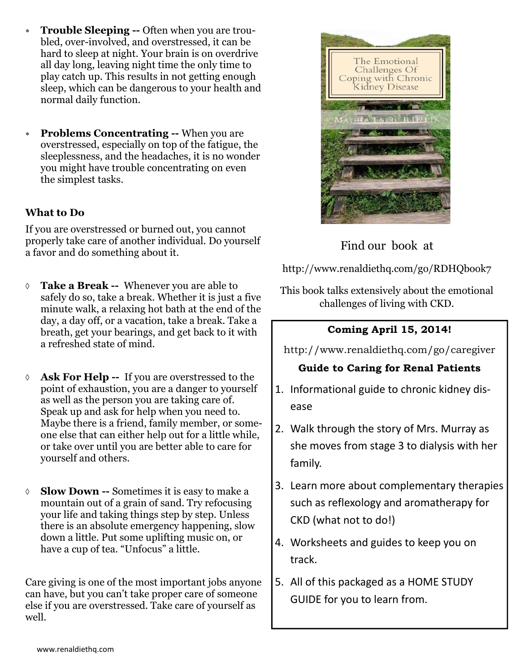- **Trouble Sleeping --** Often when you are troubled, over-involved, and overstressed, it can be hard to sleep at night. Your brain is on overdrive all day long, leaving night time the only time to play catch up. This results in not getting enough sleep, which can be dangerous to your health and normal daily function.
- **Problems Concentrating --** When you are overstressed, especially on top of the fatigue, the sleeplessness, and the headaches, it is no wonder you might have trouble concentrating on even the simplest tasks.

#### **What to Do**

If you are overstressed or burned out, you cannot properly take care of another individual. Do yourself a favor and do something about it.

- **Take a Break --** Whenever you are able to safely do so, take a break. Whether it is just a five minute walk, a relaxing hot bath at the end of the day, a day off, or a vacation, take a break. Take a breath, get your bearings, and get back to it with a refreshed state of mind.
- **Ask For Help --** If you are overstressed to the point of exhaustion, you are a danger to yourself as well as the person you are taking care of. Speak up and ask for help when you need to. Maybe there is a friend, family member, or someone else that can either help out for a little while, or take over until you are better able to care for yourself and others.
- **Slow Down --** Sometimes it is easy to make a mountain out of a grain of sand. Try refocusing your life and taking things step by step. Unless there is an absolute emergency happening, slow down a little. Put some uplifting music on, or have a cup of tea. "Unfocus" a little.

Care giving is one of the most important jobs anyone can have, but you can't take proper care of someone else if you are overstressed. Take care of yourself as well.



#### Find our book at

http://www.renaldiethq.com/go/RDHQbook7

This book talks extensively about the emotional challenges of living with CKD.

#### **Coming April 15, 2014!**

http://www.renaldiethq.com/go/caregiver

#### **Guide to Caring for Renal Patients**

- 1. Informational guide to chronic kidney disease
- 2. Walk through the story of Mrs. Murray as she moves from stage 3 to dialysis with her family.
- 3. Learn more about complementary therapies such as reflexology and aromatherapy for CKD (what not to do!)
- 4. Worksheets and guides to keep you on track.
- 5. All of this packaged as a HOME STUDY GUIDE for you to learn from.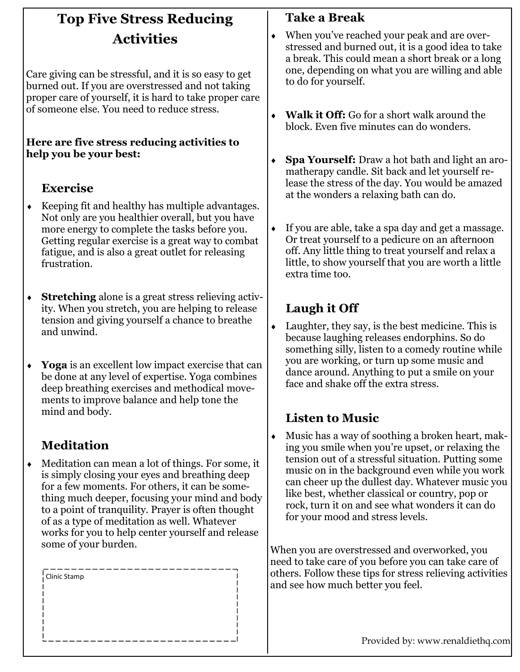## **Top Five Stress Reducing Activities**

Care giving can be stressful, and it is so easy to get burned out. If you are overstressed and not taking proper care of yourself, it is hard to take proper care of someone else. You need to reduce stress.

#### **Here are five stress reducing activities to help you be your best:**

## **Exercise**

- $\leftarrow$  Keeping fit and healthy has multiple advantages. Not only are you healthier overall, but you have more energy to complete the tasks before you. Getting regular exercise is a great way to combat fatigue, and is also a great outlet for releasing frustration.
- **Stretching** alone is a great stress relieving activity. When you stretch, you are helping to release tension and giving yourself a chance to breathe and unwind.
- **Yoga** is an excellent low impact exercise that can be done at any level of expertise. Yoga combines deep breathing exercises and methodical movements to improve balance and help tone the mind and body.

## **Meditation**

 Meditation can mean a lot of things. For some, it is simply closing your eyes and breathing deep for a few moments. For others, it can be something much deeper, focusing your mind and body to a point of tranquility. Prayer is often thought of as a type of meditation as well. Whatever works for you to help center yourself and release some of your burden.

| $\frac{1}{1}$ Clinic Stamp |  |  |
|----------------------------|--|--|
|                            |  |  |
|                            |  |  |
|                            |  |  |
|                            |  |  |

## **Take a Break**

- When you've reached your peak and are overstressed and burned out, it is a good idea to take a break. This could mean a short break or a long one, depending on what you are willing and able to do for yourself.
- **Walk it Off:** Go for a short walk around the block. Even five minutes can do wonders.
- **Spa Yourself:** Draw a hot bath and light an aromatherapy candle. Sit back and let yourself release the stress of the day. You would be amazed at the wonders a relaxing bath can do.
- If you are able, take a spa day and get a massage. Or treat yourself to a pedicure on an afternoon off. Any little thing to treat yourself and relax a little, to show yourself that you are worth a little extra time too.

### **Laugh it Off**

 $\bullet$  Laughter, they say, is the best medicine. This is because laughing releases endorphins. So do something silly, listen to a comedy routine while you are working, or turn up some music and dance around. Anything to put a smile on your face and shake off the extra stress.

## **Listen to Music**

 Music has a way of soothing a broken heart, making you smile when you're upset, or relaxing the tension out of a stressful situation. Putting some music on in the background even while you work can cheer up the dullest day. Whatever music you like best, whether classical or country, pop or rock, turn it on and see what wonders it can do for your mood and stress levels.

When you are overstressed and overworked, you need to take care of you before you can take care of others. Follow these tips for stress relieving activities and see how much better you feel.